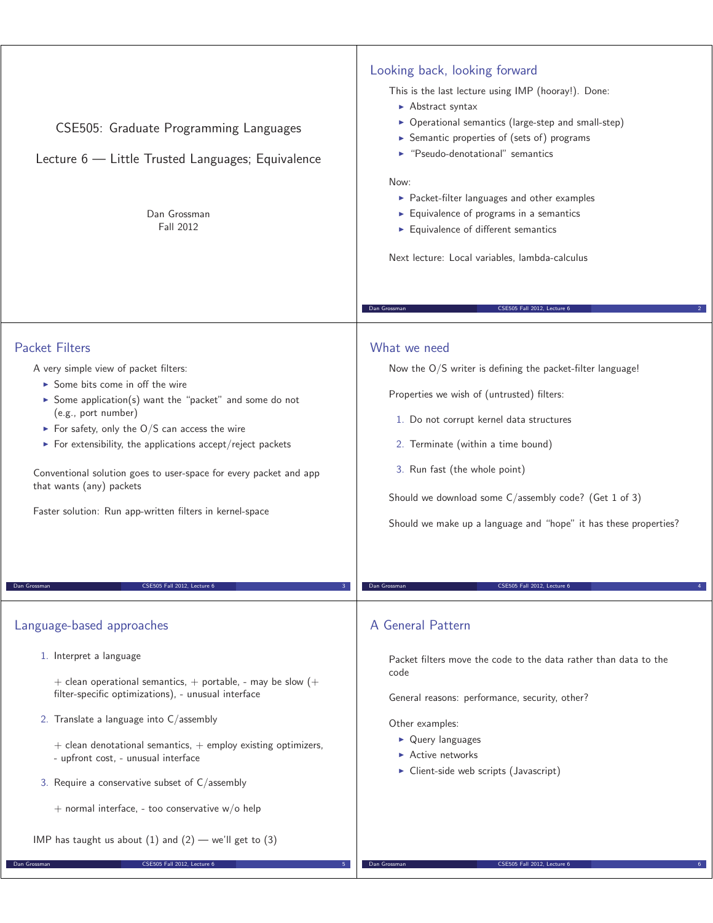| CSE505: Graduate Programming Languages<br>Lecture 6 - Little Trusted Languages; Equivalence<br>Dan Grossman<br><b>Fall 2012</b>                                                                                                                                                                                                                                                                                                                                                 | Looking back, looking forward<br>This is the last lecture using IMP (hooray!). Done:<br>Abstract syntax<br>▶ Operational semantics (large-step and small-step)<br>Semantic properties of (sets of) programs<br>▶ "Pseudo-denotational" semantics<br>Now:<br>▶ Packet-filter languages and other examples<br>$\blacktriangleright$ Equivalence of programs in a semantics<br>Equivalence of different semantics<br>Next lecture: Local variables, lambda-calculus<br>CSE505 Fall 2012, Lecture 6<br>Dan Grossman |
|---------------------------------------------------------------------------------------------------------------------------------------------------------------------------------------------------------------------------------------------------------------------------------------------------------------------------------------------------------------------------------------------------------------------------------------------------------------------------------|-----------------------------------------------------------------------------------------------------------------------------------------------------------------------------------------------------------------------------------------------------------------------------------------------------------------------------------------------------------------------------------------------------------------------------------------------------------------------------------------------------------------|
| <b>Packet Filters</b><br>A very simple view of packet filters:<br>► Some bits come in off the wire<br>Some application(s) want the "packet" and some do not<br>(e.g., port number)<br>For safety, only the $O/S$ can access the wire<br>$\triangleright$ For extensibility, the applications accept/reject packets<br>Conventional solution goes to user-space for every packet and app<br>that wants (any) packets<br>Faster solution: Run app-written filters in kernel-space | What we need<br>Now the O/S writer is defining the packet-filter language!<br>Properties we wish of (untrusted) filters:<br>1. Do not corrupt kernel data structures<br>2. Terminate (within a time bound)<br>3. Run fast (the whole point)<br>Should we download some C/assembly code? (Get 1 of 3)<br>Should we make up a language and "hope" it has these properties?                                                                                                                                        |
| Dan Grossman<br>CSE505 Fall 2012, Lecture 6                                                                                                                                                                                                                                                                                                                                                                                                                                     | Dan Grossman<br>CSE505 Fall 2012, Lecture 6                                                                                                                                                                                                                                                                                                                                                                                                                                                                     |
| Language-based approaches                                                                                                                                                                                                                                                                                                                                                                                                                                                       | A General Pattern                                                                                                                                                                                                                                                                                                                                                                                                                                                                                               |
| 1. Interpret a language<br>+ clean operational semantics, + portable, - may be slow $(+)$<br>filter-specific optimizations), - unusual interface                                                                                                                                                                                                                                                                                                                                | Packet filters move the code to the data rather than data to the<br>code<br>General reasons: performance, security, other?                                                                                                                                                                                                                                                                                                                                                                                      |

2. Translate a language into C/assembly

**Dan Grossman** CSE505 Fall 2012, Lecture 6

- $+$  clean denotational semantics,  $+$  employ existing optimizers, - upfront cost, - unusual interface
- 3. Require a conservative subset of C/assembly
	- $+$  normal interface, too conservative w/o help
- IMP has taught us about  $(1)$  and  $(2)$  we'll get to  $(3)$

General reasons: performance, security, other?

Other examples:

- Query languages
- **Active networks**
- ▶ Client-side web scripts (Javascript)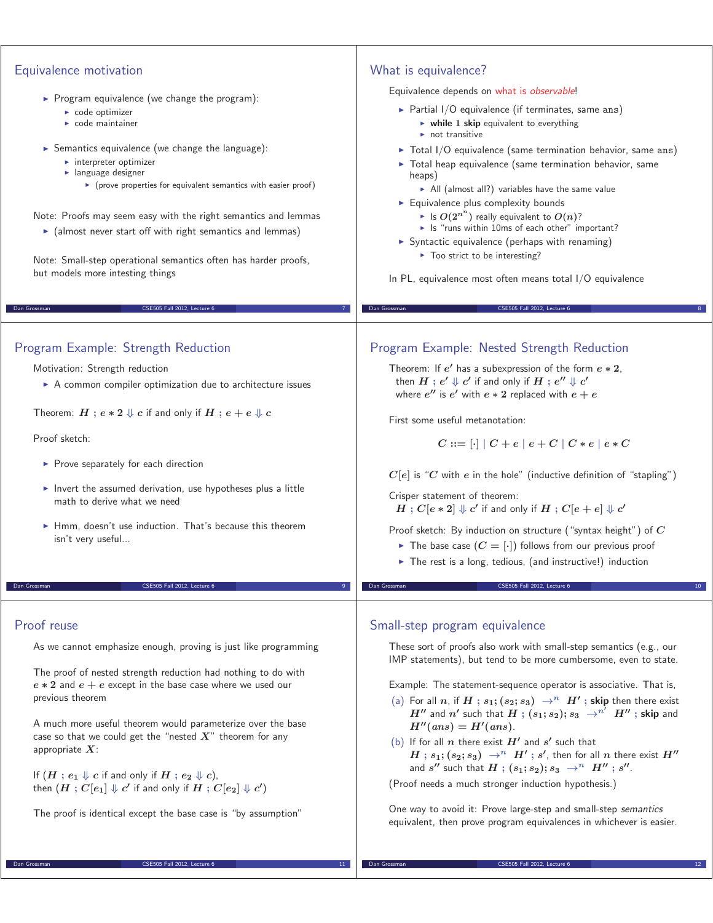| Equivalence motivation                                                                                                     | What is equivalence?                                                                                                                                       |
|----------------------------------------------------------------------------------------------------------------------------|------------------------------------------------------------------------------------------------------------------------------------------------------------|
|                                                                                                                            | Equivalence depends on what is observable!                                                                                                                 |
| $\triangleright$ Program equivalence (we change the program):                                                              | Partial I/O equivalence (if terminates, same ans)                                                                                                          |
| $\triangleright$ code optimizer<br>$\triangleright$ code maintainer                                                        | $\triangleright$ while 1 skip equivalent to everything                                                                                                     |
|                                                                                                                            | $\triangleright$ not transitive                                                                                                                            |
| Semantics equivalence (we change the language):<br>$\triangleright$ interpreter optimizer                                  | $\triangleright$ Total I/O equivalence (same termination behavior, same ans)<br>Total heap equivalence (same termination behavior, same                    |
| $\blacktriangleright$ language designer<br>• (prove properties for equivalent semantics with easier proof)                 | heaps)                                                                                                                                                     |
|                                                                                                                            | All (almost all?) variables have the same value<br>Equivalence plus complexity bounds                                                                      |
| Note: Proofs may seem easy with the right semantics and lemmas                                                             | If $O(2^{n^n})$ really equivalent to $O(n)$ ?                                                                                                              |
| $\triangleright$ (almost never start off with right semantics and lemmas)                                                  | In the "runs within 10ms of each other" important?<br>Syntactic equivalence (perhaps with renaming)                                                        |
| Note: Small-step operational semantics often has harder proofs,                                                            | $\triangleright$ Too strict to be interesting?                                                                                                             |
| but models more intesting things                                                                                           | In PL, equivalence most often means total I/O equivalence                                                                                                  |
|                                                                                                                            |                                                                                                                                                            |
| CSE505 Fall 2012, Lecture 6<br>Dan Grossman                                                                                | CSE505 Fall 2012, Lecture 6<br>Dan Grossman                                                                                                                |
| Program Example: Strength Reduction                                                                                        | Program Example: Nested Strength Reduction                                                                                                                 |
|                                                                                                                            |                                                                                                                                                            |
| Motivation: Strength reduction<br>A common compiler optimization due to architecture issues                                | Theorem: If $e'$ has a subexpression of the form $e * 2$ ,<br>then $H$ ; $e' \Downarrow c'$ if and only if $H$ ; $e'' \Downarrow c'$                       |
|                                                                                                                            | where $e''$ is $e'$ with $e * 2$ replaced with $e + e$                                                                                                     |
| Theorem: $H$ ; $e * 2 \Downarrow c$ if and only if $H$ ; $e + e \Downarrow c$                                              | First some useful metanotation:                                                                                                                            |
| Proof sketch:                                                                                                              | $C ::= [\cdot]   C + e   e + C   C * e   e * C$                                                                                                            |
| ▶ Prove separately for each direction                                                                                      |                                                                                                                                                            |
|                                                                                                                            | $C[e]$ is "C with e in the hole" (inductive definition of "stapling")                                                                                      |
| Invert the assumed derivation, use hypotheses plus a little<br>math to derive what we need                                 | Crisper statement of theorem:                                                                                                                              |
|                                                                                                                            | $H: C[e * 2] \Downarrow c'$ if and only if $H: C[e + e] \Downarrow c'$                                                                                     |
| • Hmm, doesn't use induction. That's because this theorem<br>isn't very useful                                             | Proof sketch: By induction on structure ("syntax height") of $C$                                                                                           |
|                                                                                                                            | The base case $(C = [\cdot])$ follows from our previous proof<br>The rest is a long, tedious, (and instructive!) induction                                 |
|                                                                                                                            |                                                                                                                                                            |
| CSE505 Fall 2012, Lecture 6<br>Dan Grossman                                                                                | CSE505 Fall 2012, Lecture 6<br>Dan Grossman                                                                                                                |
| Proof reuse                                                                                                                | Small-step program equivalence                                                                                                                             |
| As we cannot emphasize enough, proving is just like programming                                                            | These sort of proofs also work with small-step semantics (e.g., our                                                                                        |
|                                                                                                                            | IMP statements), but tend to be more cumbersome, even to state.                                                                                            |
| The proof of nested strength reduction had nothing to do with                                                              |                                                                                                                                                            |
| $e * 2$ and $e + e$ except in the base case where we used our<br>previous theorem                                          | Example: The statement-sequence operator is associative. That is,<br>(a) For all n, if $H$ ; $s_1$ ; $(s_2; s_3) \rightarrow^n H'$ ; skip then there exist |
|                                                                                                                            | $H''$ and $n'$ such that $H$ ; $(s_1; s_2); s_3 \rightarrow^{n'} H''$ ; skip and                                                                           |
| A much more useful theorem would parameterize over the base<br>case so that we could get the "nested $X$ " theorem for any | $H''(ans) = H'(ans).$                                                                                                                                      |
| appropriate $X$ :                                                                                                          | (b) If for all n there exist $H'$ and $s'$ such that<br>$H$ ; $s_1$ ; $(s_2; s_3)$ $\rightarrow^n$ $H'$ ; $s'$ , then for all $n$ there exist $H''$        |
| If $(H : e_1 \Downarrow c$ if and only if $H : e_2 \Downarrow c$ ,                                                         | and s'' such that $H$ ; $(s_1; s_2); s_3 \rightarrow^n H''$ ; s''.                                                                                         |
| then $(H: C[e_1] \Downarrow c'$ if and only if $H: C[e_2] \Downarrow c'$                                                   | (Proof needs a much stronger induction hypothesis.)                                                                                                        |
| The proof is identical except the base case is "by assumption"                                                             | One way to avoid it: Prove large-step and small-step semantics                                                                                             |
|                                                                                                                            | equivalent, then prove program equivalences in whichever is easier.                                                                                        |
|                                                                                                                            |                                                                                                                                                            |

**Dan Grossman CSES05 Fall 2012, Lecture 6** 12

**Dan Grossman** CSE505 Fall 2012, Lecture 6 11 11 120 April 2012 11 11 120 April 2012 11 120 April 2012 11 120 April 2012 11 120 April 2012 11 120 April 2012 11 120 April 2012 120 April 2012 120 April 2012 120 April 2012 12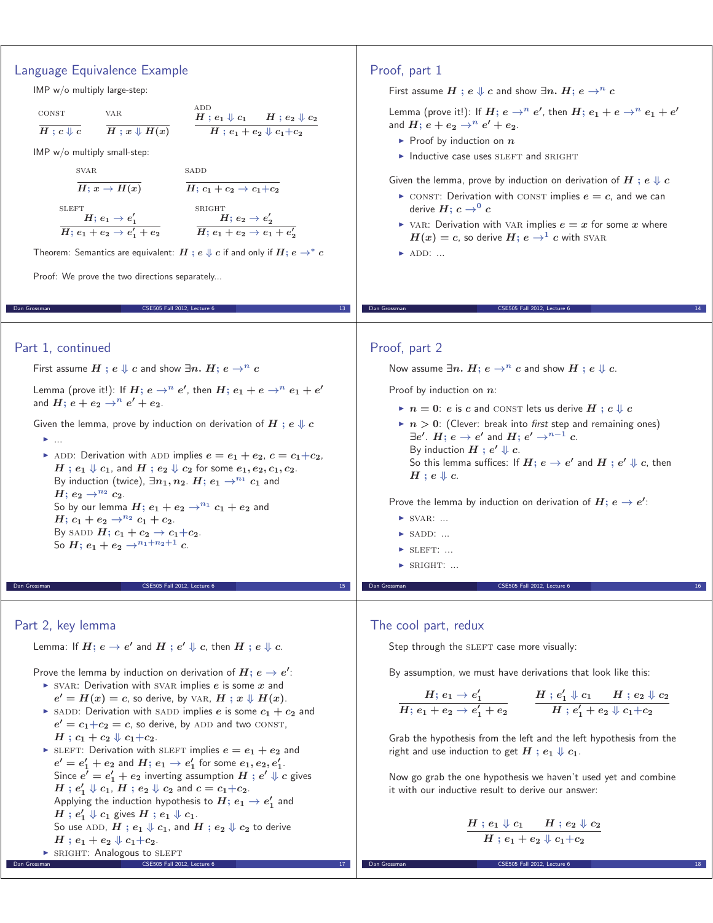# Language Equivalence Example

IMP w/o multiply large-step:

$$
\begin{array}{ccc}\n\text{CONT} & & \text{VAR} \\
\hline\nH \,; \,c \Downarrow c & & \overline{H} \,; x \Downarrow H(x)\n\end{array}\n\qquad\n\begin{array}{c}\n\text{ADD} \\
\hline\nH \,; \,e_1 \Downarrow c_1 & H \,; e_2 \Downarrow c_2 \\
\hline\nH \,; e_1 + e_2 \Downarrow c_1 + e_2\n\end{array}
$$

IMP w/o multiply small-step:

**SLEFT** 

$$
\frac{\text{svar}}{H: x \to H(x)}
$$

$$
\frac{\text{SADD}}{H\colon c_1+c_2\to c_1+c_2}
$$

$$
\overset{\text{SRIGHT}}{\mathbf{H}} \mathbf{B} \rightarrow \mathbf{e}'
$$

**2**

$$
\frac{H; \, e_1 \rightarrow e_1'}{H; \, e_1 + e_2 \rightarrow e_1' + e_2} \qquad \qquad \frac{H; \, e_2 \rightarrow e_2'}{H; \, e_1 + e_2 \rightarrow e_1 + e_2'}
$$

Theorem: Semantics are equivalent:  $H$ ;  $e \Downarrow c$  if and only if  $H$ ;  $e \rightarrow^* c$ 

Dan Grossman CSE505 Fall 2012, Lecture 6 13 November 2013, Lecture 6 13 November 2013

Proof: We prove the two directions separately...

### Part 1, continued

First assume  $H$  **;**  $e \Downarrow c$  and show  $\exists n$ .  $H$ **;**  $e \rightarrow^n c$ 

Lemma (prove it!): If  $H$ ;  $e \rightarrow^n e'$ , then  $H$ ;  $e_1 + e \rightarrow^n e_1 + e'$ and  $H$ ;  $e + e_2 \rightarrow^n e' + e_2$ .

Given the lemma, prove by induction on derivation of  $H$ ;  $e \Downarrow c$ 

- ...

 $\blacktriangleright$  ADD: Derivation with ADD implies  $e = e_1 + e_2$ ,  $c = c_1 + c_2$ ,  $H$ ;  $e_1 \Downarrow c_1$ , and  $H$ ;  $e_2 \Downarrow c_2$  for some  $e_1, e_2, c_1, c_2$ . By induction (twice),  $\exists n_1, n_2$ .  $H$ ;  $e_1 \rightarrow^{n_1} c_1$  and *H***;**  $e_2 \to^{n_2} c_2$ . So by our lemma  $H$ ;  $e_1 + e_2 \rightarrow^{n_1} c_1 + e_2$  and *H*<sub>**;**  $c_1 + e_2 \rightarrow^{n_2} c_1 + c_2$ .</sub> By SADD  $H$ **;**  $c_1 + c_2 \rightarrow c_1 + c_2$ . So  $H$ ;  $e_1 + e_2 \rightarrow^{n_1+n_2+1} c$ .

### Part 2, key lemma

Lemma: If  $H$ ;  $e \rightarrow e'$  and  $H$  ;  $e' \Downarrow c$ , then  $H$  ;  $e \Downarrow c$ .

Prove the lemma by induction on derivation of  $H$ ;  $e \rightarrow e'$ :

 $\triangleright$  SVAR: Derivation with SVAR implies  $e$  is some  $x$  and  $e' = H(x) = c$ , so derive, by VAR,  $H : x \Downarrow H(x)$ .

 $CSE505$  Fall 2012, Lecture  $6$ 

- $\triangleright$  SADD: Derivation with SADD implies *e* is some  $c_1 + c_2$  and  $e' = c_1 + c_2 = c$ , so derive, by ADD and two CONST,  $H$ ;  $c_1 + c_2 \Downarrow c_1 + c_2$ .
- $\blacktriangleright$  SLEFT: Derivation with SLEFT implies  $e = e_1 + e_2$  and  $e'=e_1'+e_2$  and  $H;\, e_1\to e_1'$  for some  $e_1,e_2,e_1'.$  $\textsf{Since } e' = e'_1 + e_2 \text{ inverting assumption } H \text{ ; } e' \Downarrow c \text{ gives }$  $H$ ;  $e'_1 \Downarrow c_1$ ,  $H$ ;  $e_2 \Downarrow c_2$  and  $c = c_1 + c_2$ . Applying the induction hypothesis to  $H$ ;  $e_1 \rightarrow e'_1$  and  $H$  ;  $e'_1 \Downarrow c_1$  gives  $H$  ;  $e_1 \Downarrow c_1$ . So use ADD,  $H$  ;  $e_1 \Downarrow c_1$ , and  $H$  ;  $e_2 \Downarrow c_2$  to derive  $H$ ;  $e_1 + e_2 \Downarrow c_1 + c_2$ . • SRIGHT: Analogous to SLEFT

Dan Grossman CSE505 Fall 2012, Lecture 6 17

## Proof, part 1

First assume  $H$ ;  $e \Downarrow c$  and show  $\exists n. H$ ;  $e \rightarrow^n c$ 

Lemma (prove it!): If  $H$ ;  $e \rightarrow^n e'$ , then  $H$ ;  $e_1 + e \rightarrow^n e_1 + e'$ and  $H$ ;  $e + e_2 \rightarrow e^r + e_2$ .

- ► Proof by induction on *n*
- Inductive case uses SLEFT and SRIGHT

Given the lemma, prove by induction on derivation of  $H$ ;  $e \Downarrow c$ 

- $\triangleright$  CONST: Derivation with CONST implies  $e = c$ , and we can derive  $H: c \rightarrow 0$  *c*
- $\triangleright$  VAR: Derivation with VAR implies  $e = x$  for some x where  $H(x) = c$ , so derive  $H$ ;  $e \rightarrow$ <sup>1</sup> *c* with SVAR

Dan Grossman CSE505 Fall 2012, Lecture 6 14

 $\blacktriangleright$  ADD: ...

### Proof, part 2

Now assume  $\exists n$ .  $H$ ;  $e \rightarrow^n c$  and show  $H$  ;  $e \Downarrow c$ .

Proof by induction on *n*:

- $\blacktriangleright$   $n = 0$ : *e* is *c* and CONST lets us derive  $H$  ;  $c \Downarrow c$
- $\blacktriangleright$   $n > 0$ : (Clever: break into *first* step and remaining ones) *∃e-* . *H***;** *e → e-* and *H***;** *e- <sup>→</sup>n−***<sup>1</sup>** *<sup>c</sup>*. By induction  $H$  **;**  $e' \Downarrow c$ . So this lemma suffices: If  $H$ ;  $e \rightarrow e'$  and  $H$  ;  $e' \Downarrow c$ , then  $H$ ;  $e \Downarrow c$ .

CSE505 Fall 2012, Lecture 6

Prove the lemma by induction on derivation of  $H$ ;  $e \rightarrow e'$ :

- $\blacktriangleright$  SVAR: ...
- $\blacktriangleright$  SADD: ...
- $\blacktriangleright$  SLEFT: ...
- $\triangleright$  SRIGHT: ...

#### The cool part, redux

Step through the SLEFT case more visually:

By assumption, we must have derivations that look like this:

$$
\dfrac{H;\, e_1 \rightarrow e_1'}{H;\, e_1+e_2 \rightarrow e_1'+e_2} \qquad \dfrac{H;\, e_1'\Downarrow c_1 \quad \, H;\, e_2\Downarrow c_2}{H;\, e_1'+e_2\Downarrow c_1+c_2}
$$

Grab the hypothesis from the left and the left hypothesis from the right and use induction to get  $H$ ;  $e_1 \Downarrow c_1$ .

Now go grab the one hypothesis we haven't used yet and combine it with our inductive result to derive our answer:

$$
\frac{H~;~e_1 \Downarrow c_1~~H~;~e_2 \Downarrow c_2}{H~;~e_1+e_2 \Downarrow c_1+c_2}
$$

Dan Grossman CSE505 Fall 2012, Lecture 6 18